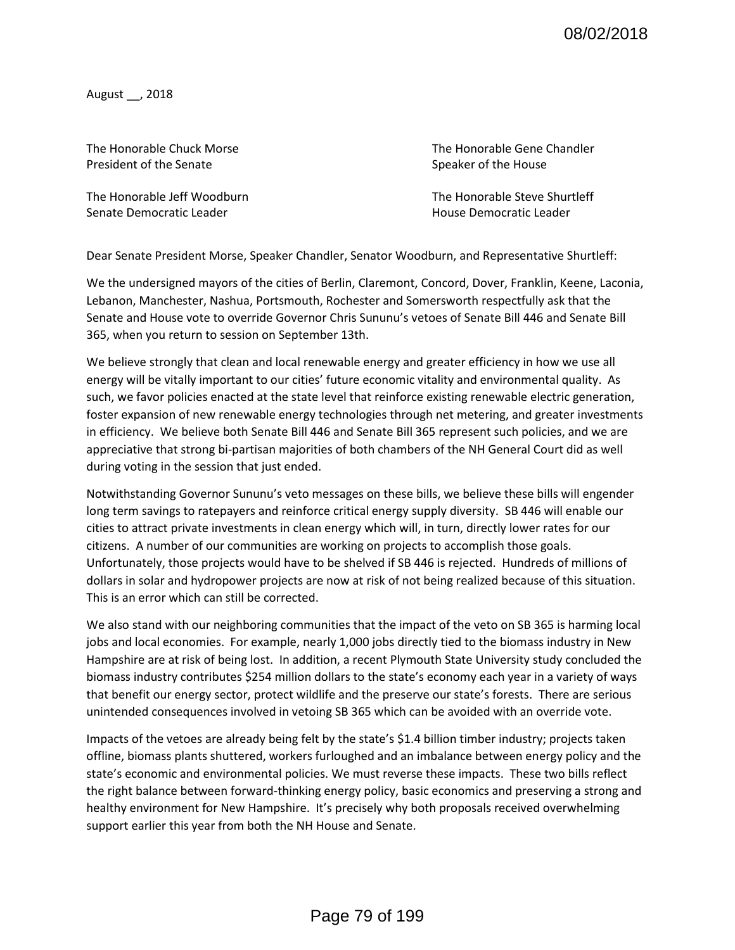August \_\_, 2018

President of the Senate Speaker of the House Speaker of the House

Senate Democratic Leader **No. 2018** Senate Democratic Leader

The Honorable Chuck Morse The Honorable Gene Chandler

The Honorable Jeff Woodburn The Honorable Steve Shurtleff

Dear Senate President Morse, Speaker Chandler, Senator Woodburn, and Representative Shurtleff:

We the undersigned mayors of the cities of Berlin, Claremont, Concord, Dover, Franklin, Keene, Laconia, Lebanon, Manchester, Nashua, Portsmouth, Rochester and Somersworth respectfully ask that the Senate and House vote to override Governor Chris Sununu's vetoes of Senate Bill 446 and Senate Bill 365, when you return to session on September 13th.

We believe strongly that clean and local renewable energy and greater efficiency in how we use all energy will be vitally important to our cities' future economic vitality and environmental quality. As such, we favor policies enacted at the state level that reinforce existing renewable electric generation, foster expansion of new renewable energy technologies through net metering, and greater investments in efficiency. We believe both Senate Bill 446 and Senate Bill 365 represent such policies, and we are appreciative that strong bi-partisan majorities of both chambers of the NH General Court did as well during voting in the session that just ended.

Notwithstanding Governor Sununu's veto messages on these bills, we believe these bills will engender long term savings to ratepayers and reinforce critical energy supply diversity. SB 446 will enable our cities to attract private investments in clean energy which will, in turn, directly lower rates for our citizens. A number of our communities are working on projects to accomplish those goals. Unfortunately, those projects would have to be shelved if SB 446 is rejected. Hundreds of millions of dollars in solar and hydropower projects are now at risk of not being realized because of this situation. This is an error which can still be corrected.

We also stand with our neighboring communities that the impact of the veto on SB 365 is harming local jobs and local economies. For example, nearly 1,000 jobs directly tied to the biomass industry in New Hampshire are at risk of being lost. In addition, a recent Plymouth State University study concluded the biomass industry contributes \$254 million dollars to the state's economy each year in a variety of ways that benefit our energy sector, protect wildlife and the preserve our state's forests. There are serious unintended consequences involved in vetoing SB 365 which can be avoided with an override vote.

Impacts of the vetoes are already being felt by the state's \$1.4 billion timber industry; projects taken offline, biomass plants shuttered, workers furloughed and an imbalance between energy policy and the state's economic and environmental policies. We must reverse these impacts. These two bills reflect the right balance between forward-thinking energy policy, basic economics and preserving a strong and healthy environment for New Hampshire. It's precisely why both proposals received overwhelming support earlier this year from both the NH House and Senate.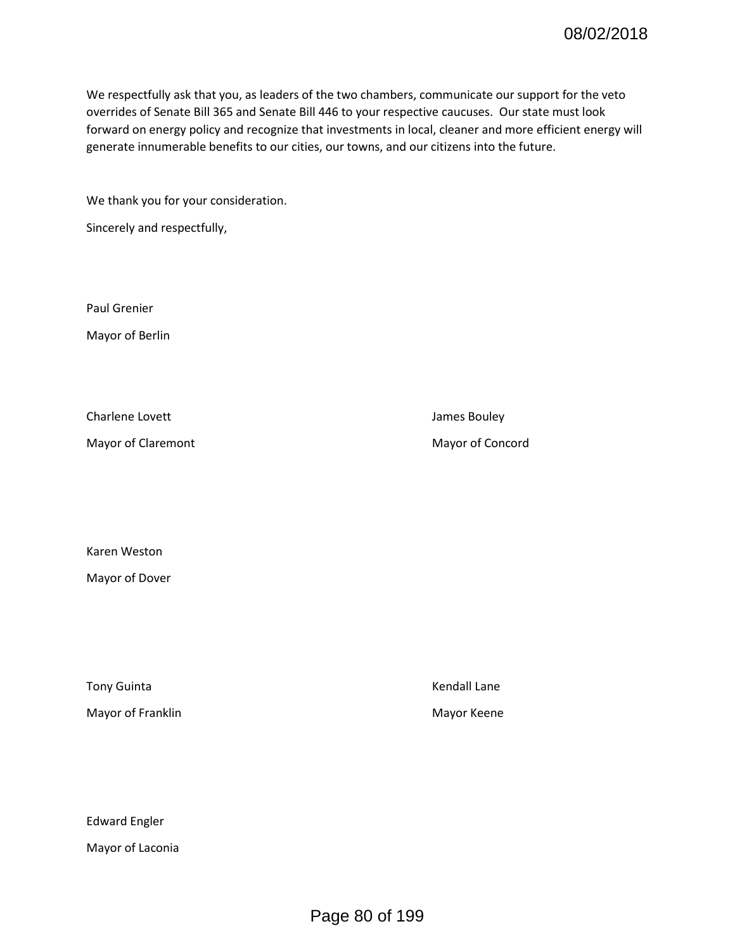We respectfully ask that you, as leaders of the two chambers, communicate our support for the veto overrides of Senate Bill 365 and Senate Bill 446 to your respective caucuses. Our state must look forward on energy policy and recognize that investments in local, cleaner and more efficient energy will generate innumerable benefits to our cities, our towns, and our citizens into the future.

We thank you for your consideration.

Sincerely and respectfully,

Paul Grenier

Mayor of Berlin

Charlene Lovett **Charlene Lovett James Bouley** 

Mayor of Claremont Mayor of Concord

Karen Weston

Mayor of Dover

Tony Guinta **Kendall Lane** 

Mayor of Franklin Mayor Keene

Edward Engler

Mayor of Laconia